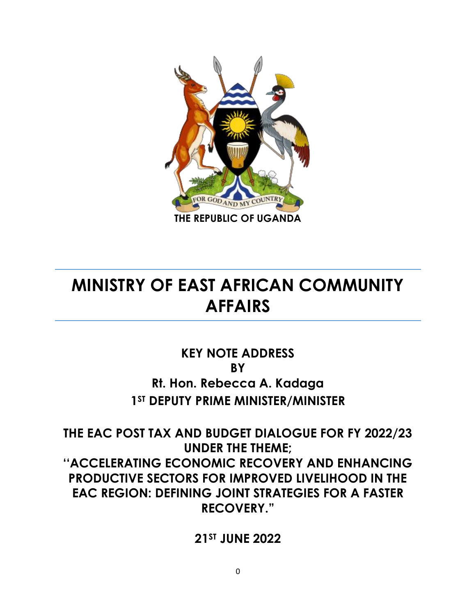

## **MINISTRY OF EAST AFRICAN COMMUNITY AFFAIRS**

## **KEY NOTE ADDRESS BY Rt. Hon. Rebecca A. Kadaga 1ST DEPUTY PRIME MINISTER/MINISTER**

**THE EAC POST TAX AND BUDGET DIALOGUE FOR FY 2022/23 UNDER THE THEME: ''ACCELERATING ECONOMIC RECOVERY AND ENHANCING PRODUCTIVE SECTORS FOR IMPROVED LIVELIHOOD IN THE EAC REGION: DEFINING JOINT STRATEGIES FOR A FASTER RECOVERY."**

**21ST JUNE 2022**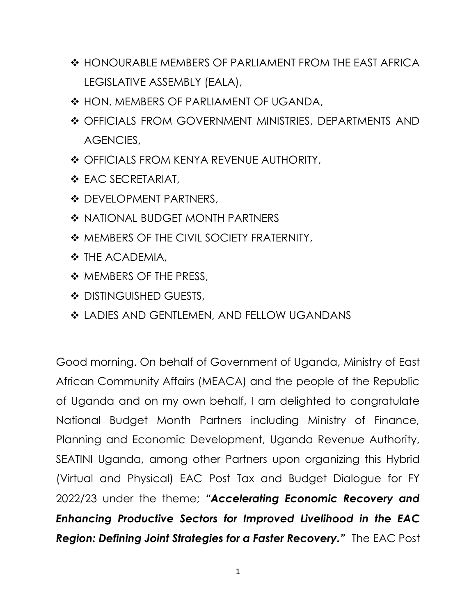- ❖ HONOURABLE MEMBERS OF PARLIAMENT FROM THE EAST AFRICA LEGISLATIVE ASSEMBLY (EALA),
- ❖ HON. MEMBERS OF PARLIAMENT OF UGANDA,
- ❖ OFFICIALS FROM GOVERNMENT MINISTRIES, DEPARTMENTS AND AGENCIES,
- ❖ OFFICIALS FROM KENYA REVENUE AUTHORITY,
- ❖ EAC SECRETARIAT,
- ❖ DEVELOPMENT PARTNERS,
- ❖ NATIONAL BUDGET MONTH PARTNERS
- ❖ MEMBERS OF THE CIVIL SOCIETY FRATERNITY,
- ❖ THE ACADEMIA,
- ❖ MEMBERS OF THE PRESS,
- ❖ DISTINGUISHED GUESTS,
- ❖ LADIES AND GENTLEMEN, AND FELLOW UGANDANS

Good morning. On behalf of Government of Uganda, Ministry of East African Community Affairs (MEACA) and the people of the Republic of Uganda and on my own behalf, I am delighted to congratulate National Budget Month Partners including Ministry of Finance, Planning and Economic Development, Uganda Revenue Authority, SEATINI Uganda, among other Partners upon organizing this Hybrid (Virtual and Physical) EAC Post Tax and Budget Dialogue for FY 2022/23 under the theme; *"Accelerating Economic Recovery and Enhancing Productive Sectors for Improved Livelihood in the EAC Region: Defining Joint Strategies for a Faster Recovery."* The EAC Post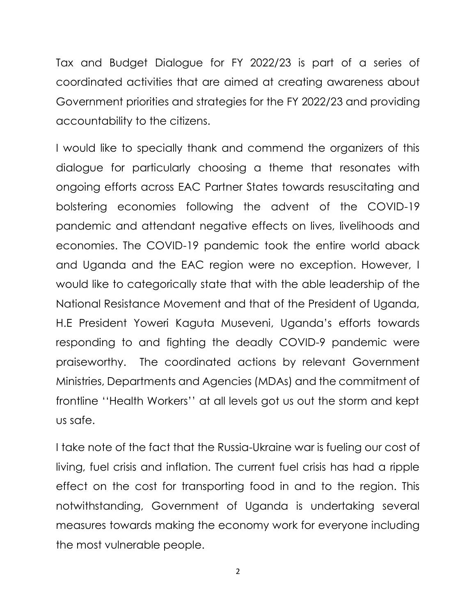Tax and Budget Dialogue for FY 2022/23 is part of a series of coordinated activities that are aimed at creating awareness about Government priorities and strategies for the FY 2022/23 and providing accountability to the citizens.

I would like to specially thank and commend the organizers of this dialogue for particularly choosing a theme that resonates with ongoing efforts across EAC Partner States towards resuscitating and bolstering economies following the advent of the COVID-19 pandemic and attendant negative effects on lives, livelihoods and economies. The COVID-19 pandemic took the entire world aback and Uganda and the EAC region were no exception. However, I would like to categorically state that with the able leadership of the National Resistance Movement and that of the President of Uganda, H.E President Yoweri Kaguta Museveni, Uganda's efforts towards responding to and fighting the deadly COVID-9 pandemic were praiseworthy. The coordinated actions by relevant Government Ministries, Departments and Agencies (MDAs) and the commitment of frontline ''Health Workers'' at all levels got us out the storm and kept us safe.

I take note of the fact that the Russia-Ukraine war is fueling our cost of living, fuel crisis and inflation. The current fuel crisis has had a ripple effect on the cost for transporting food in and to the region. This notwithstanding, Government of Uganda is undertaking several measures towards making the economy work for everyone including the most vulnerable people.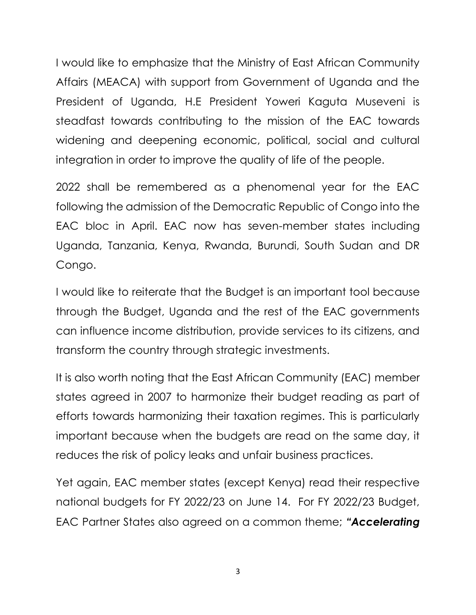I would like to emphasize that the Ministry of East African Community Affairs (MEACA) with support from Government of Uganda and the President of Uganda, H.E President Yoweri Kaguta Museveni is steadfast towards contributing to the mission of the EAC towards widening and deepening economic, political, social and cultural integration in order to improve the quality of life of the people.

2022 shall be remembered as a phenomenal year for the EAC following the admission of the Democratic Republic of Congo into the EAC bloc in April. EAC now has seven-member states including Uganda, Tanzania, Kenya, Rwanda, Burundi, South Sudan and DR Congo.

I would like to reiterate that the Budget is an important tool because through the Budget, Uganda and the rest of the EAC governments can influence income distribution, provide services to its citizens, and transform the country through strategic investments.

It is also worth noting that the East African Community (EAC) member states agreed in 2007 to harmonize their budget reading as part of efforts towards harmonizing their taxation regimes. This is particularly important because when the budgets are read on the same day, it reduces the risk of policy leaks and unfair business practices.

Yet again, EAC member states (except Kenya) read their respective national budgets for FY 2022/23 on June 14. For FY 2022/23 Budget, EAC Partner States also agreed on a common theme; *"Accelerating*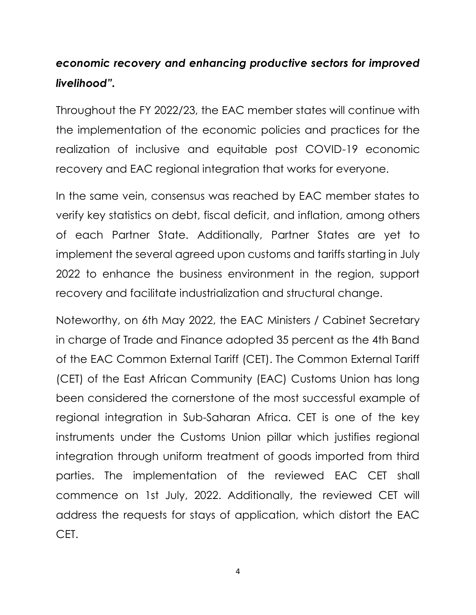## *economic recovery and enhancing productive sectors for improved livelihood".*

Throughout the FY 2022/23, the EAC member states will continue with the implementation of the economic policies and practices for the realization of inclusive and equitable post COVID-19 economic recovery and EAC regional integration that works for everyone.

In the same vein, consensus was reached by EAC member states to verify key statistics on debt, fiscal deficit, and inflation, among others of each Partner State. Additionally, Partner States are yet to implement the several agreed upon customs and tariffs starting in July 2022 to enhance the business environment in the region, support recovery and facilitate industrialization and structural change.

Noteworthy, on 6th May 2022, the EAC Ministers / Cabinet Secretary in charge of Trade and Finance adopted 35 percent as the 4th Band of the EAC Common External Tariff (CET). The Common External Tariff (CET) of the East African Community (EAC) Customs Union has long been considered the cornerstone of the most successful example of regional integration in Sub-Saharan Africa. CET is one of the key instruments under the Customs Union pillar which justifies regional integration through uniform treatment of goods imported from third parties. The implementation of the reviewed EAC CET shall commence on 1st July, 2022. Additionally, the reviewed CET will address the requests for stays of application, which distort the EAC CET.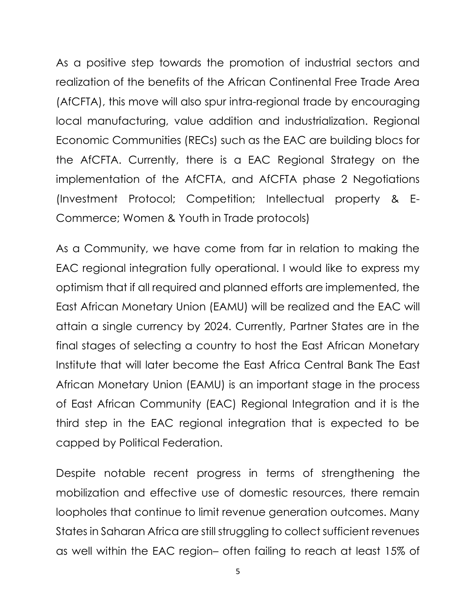As a positive step towards the promotion of industrial sectors and realization of the benefits of the African Continental Free Trade Area (AfCFTA), this move will also spur intra-regional trade by encouraging local manufacturing, value addition and industrialization. Regional Economic Communities (RECs) such as the EAC are building blocs for the AfCFTA. Currently, there is a EAC Regional Strategy on the implementation of the AfCFTA, and AfCFTA phase 2 Negotiations (Investment Protocol; Competition; Intellectual property & E-Commerce; Women & Youth in Trade protocols)

As a Community, we have come from far in relation to making the EAC regional integration fully operational. I would like to express my optimism that if all required and planned efforts are implemented, the East African Monetary Union (EAMU) will be realized and the EAC will attain a single currency by 2024. Currently, Partner States are in the final stages of selecting a country to host the East African Monetary Institute that will later become the East Africa Central Bank The East African Monetary Union (EAMU) is an important stage in the process of East African Community (EAC) Regional Integration and it is the third step in the EAC regional integration that is expected to be capped by Political Federation.

Despite notable recent progress in terms of strengthening the mobilization and effective use of domestic resources, there remain loopholes that continue to limit revenue generation outcomes. Many States in Saharan Africa are still struggling to collect sufficient revenues as well within the EAC region– often failing to reach at least 15% of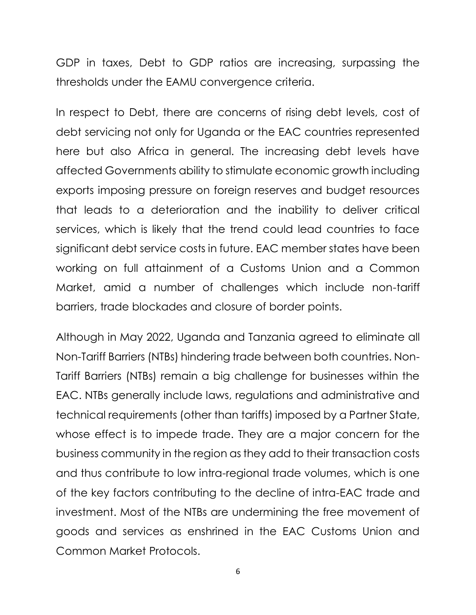GDP in taxes, Debt to GDP ratios are increasing, surpassing the thresholds under the EAMU convergence criteria.

In respect to Debt, there are concerns of rising debt levels, cost of debt servicing not only for Uganda or the EAC countries represented here but also Africa in general. The increasing debt levels have affected Governments ability to stimulate economic growth including exports imposing pressure on foreign reserves and budget resources that leads to a deterioration and the inability to deliver critical services, which is likely that the trend could lead countries to face significant debt service costs in future. EAC member states have been working on full attainment of a Customs Union and a Common Market, amid a number of challenges which include non-tariff barriers, trade blockades and closure of border points.

Although in May 2022, Uganda and Tanzania agreed to eliminate all Non-Tariff Barriers (NTBs) hindering trade between both countries. Non-Tariff Barriers (NTBs) remain a big challenge for businesses within the EAC. NTBs generally include laws, regulations and administrative and technical requirements (other than tariffs) imposed by a Partner State, whose effect is to impede trade. They are a major concern for the business community in the region as they add to their transaction costs and thus contribute to low intra-regional trade volumes, which is one of the key factors contributing to the decline of intra-EAC trade and investment. Most of the NTBs are undermining the free movement of goods and services as enshrined in the EAC Customs Union and Common Market Protocols.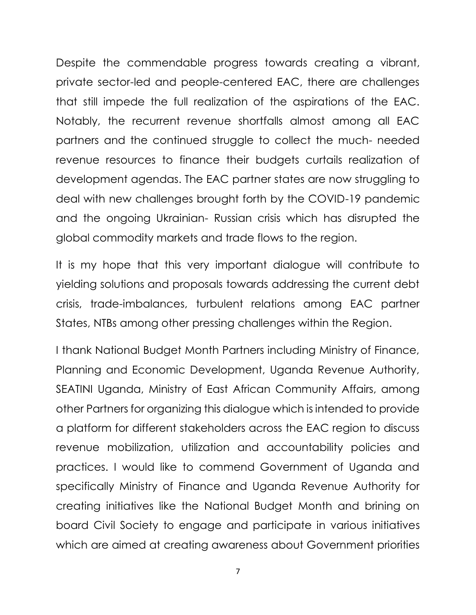Despite the commendable progress towards creating a vibrant, private sector-led and people-centered EAC, there are challenges that still impede the full realization of the aspirations of the EAC. Notably, the recurrent revenue shortfalls almost among all EAC partners and the continued struggle to collect the much- needed revenue resources to finance their budgets curtails realization of development agendas. The EAC partner states are now struggling to deal with new challenges brought forth by the COVID-19 pandemic and the ongoing Ukrainian- Russian crisis which has disrupted the global commodity markets and trade flows to the region.

It is my hope that this very important dialogue will contribute to yielding solutions and proposals towards addressing the current debt crisis, trade-imbalances, turbulent relations among EAC partner States, NTBs among other pressing challenges within the Region.

I thank National Budget Month Partners including Ministry of Finance, Planning and Economic Development, Uganda Revenue Authority, SEATINI Uganda, Ministry of East African Community Affairs, among other Partners for organizing this dialogue which is intended to provide a platform for different stakeholders across the EAC region to discuss revenue mobilization, utilization and accountability policies and practices. I would like to commend Government of Uganda and specifically Ministry of Finance and Uganda Revenue Authority for creating initiatives like the National Budget Month and brining on board Civil Society to engage and participate in various initiatives which are aimed at creating awareness about Government priorities